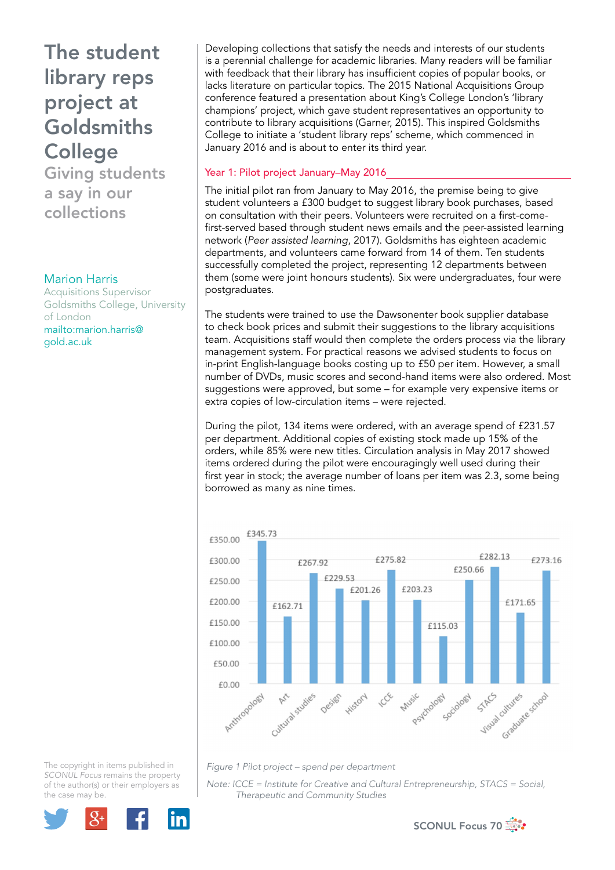The student library reps project at Goldsmiths **College** Giving students

a say in our collections

#### Marion Harris

Acquisitions Supervisor Goldsmiths College, University of London mailto:marion.harris@ gold.ac.uk

Developing collections that satisfy the needs and interests of our students is a perennial challenge for academic libraries. Many readers will be familiar with feedback that their library has insufficient copies of popular books, or lacks literature on particular topics. The 2015 National Acquisitions Group conference featured a presentation about King's College London's 'library champions' project, which gave student representatives an opportunity to contribute to library acquisitions (Garner, 2015). This inspired Goldsmiths College to initiate a 'student library reps' scheme, which commenced in January 2016 and is about to enter its third year.

### Year 1: Pilot project January–May 2016

The initial pilot ran from January to May 2016, the premise being to give student volunteers a £300 budget to suggest library book purchases, based on consultation with their peers. Volunteers were recruited on a first-comefirst-served based through student news emails and the peer-assisted learning network (*Peer assisted learning*, 2017). Goldsmiths has eighteen academic departments, and volunteers came forward from 14 of them. Ten students successfully completed the project, representing 12 departments between them (some were joint honours students). Six were undergraduates, four were postgraduates.

The students were trained to use the Dawsonenter book supplier database to check book prices and submit their suggestions to the library acquisitions team. Acquisitions staff would then complete the orders process via the library management system. For practical reasons we advised students to focus on in-print English-language books costing up to £50 per item. However, a small number of DVDs, music scores and second-hand items were also ordered. Most suggestions were approved, but some – for example very expensive items or extra copies of low-circulation items – were rejected.

During the pilot, 134 items were ordered, with an average spend of £231.57 per department. Additional copies of existing stock made up 15% of the orders, while 85% were new titles. Circulation analysis in May 2017 showed items ordered during the pilot were encouragingly well used during their first year in stock; the average number of loans per item was 2.3, some being borrowed as many as nine times.



*Figure 1 Pilot project – spend per department*

*Note: ICCE = Institute for Creative and Cultural Entrepreneurship, STACS = Social, Therapeutic and Community Studies*



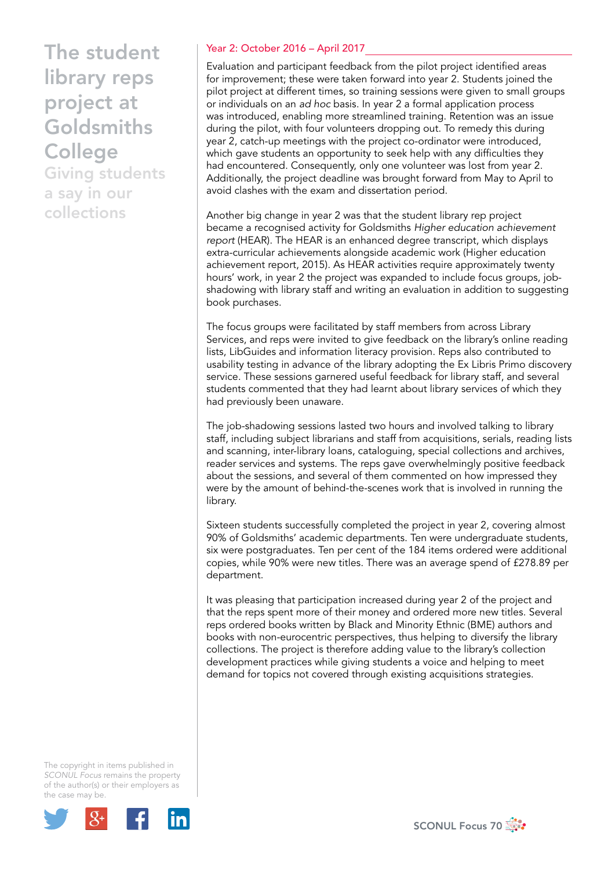The student library reps project at Goldsmiths **College** 

Giving students a say in our collections

### Year 2: October 2016 – April 2017

Evaluation and participant feedback from the pilot project identified areas for improvement; these were taken forward into year 2. Students joined the pilot project at different times, so training sessions were given to small groups or individuals on an *ad hoc* basis. In year 2 a formal application process was introduced, enabling more streamlined training. Retention was an issue during the pilot, with four volunteers dropping out. To remedy this during year 2, catch-up meetings with the project co-ordinator were introduced, which gave students an opportunity to seek help with any difficulties they had encountered. Consequently, only one volunteer was lost from year 2. Additionally, the project deadline was brought forward from May to April to avoid clashes with the exam and dissertation period.

Another big change in year 2 was that the student library rep project became a recognised activity for Goldsmiths *Higher education achievement report* (HEAR). The HEAR is an enhanced degree transcript, which displays extra-curricular achievements alongside academic work (Higher education achievement report, 2015). As HEAR activities require approximately twenty hours' work, in year 2 the project was expanded to include focus groups, jobshadowing with library staff and writing an evaluation in addition to suggesting book purchases.

The focus groups were facilitated by staff members from across Library Services, and reps were invited to give feedback on the library's online reading lists, LibGuides and information literacy provision. Reps also contributed to usability testing in advance of the library adopting the Ex Libris Primo discovery service. These sessions garnered useful feedback for library staff, and several students commented that they had learnt about library services of which they had previously been unaware.

The job-shadowing sessions lasted two hours and involved talking to library staff, including subject librarians and staff from acquisitions, serials, reading lists and scanning, inter-library loans, cataloguing, special collections and archives, reader services and systems. The reps gave overwhelmingly positive feedback about the sessions, and several of them commented on how impressed they were by the amount of behind-the-scenes work that is involved in running the library.

Sixteen students successfully completed the project in year 2, covering almost 90% of Goldsmiths' academic departments. Ten were undergraduate students, six were postgraduates. Ten per cent of the 184 items ordered were additional copies, while 90% were new titles. There was an average spend of £278.89 per department.

It was pleasing that participation increased during year 2 of the project and that the reps spent more of their money and ordered more new titles. Several reps ordered books written by Black and Minority Ethnic (BME) authors and books with non-eurocentric perspectives, thus helping to diversify the library collections. The project is therefore adding value to the library's collection development practices while giving students a voice and helping to meet demand for topics not covered through existing acquisitions strategies.



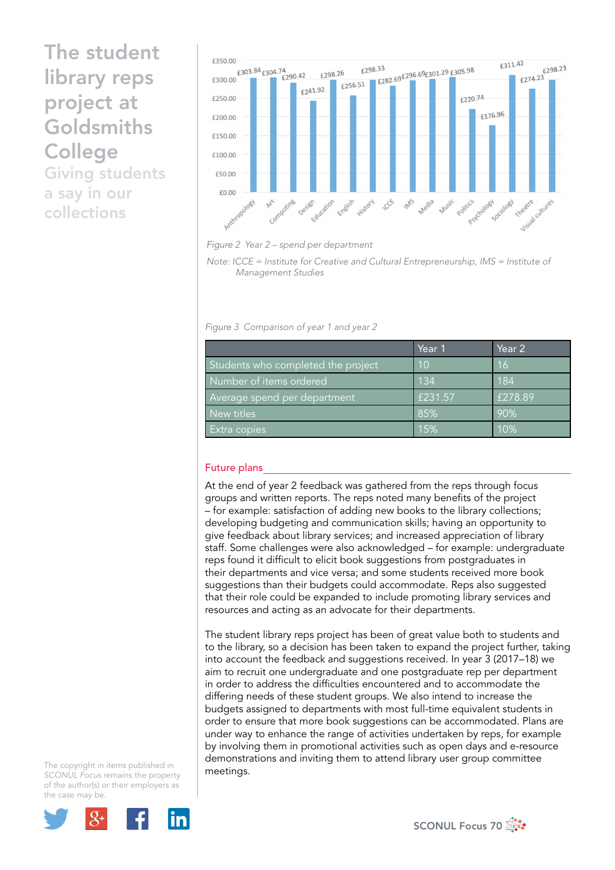# The student library reps project at Goldsmiths **College**

Giving students a say in our collections





*Note: ICCE = Institute for Creative and Cultural Entrepreneurship, IMS = Institute of Management Studies* 

*Figure 3 Comparison of year 1 and year 2*

|                                    | Year 1  | Year 2  |
|------------------------------------|---------|---------|
| Students who completed the project | 10      | 16      |
| Number of items ordered            | 134     | 184     |
| Average spend per department       | £231.57 | £278.89 |
| New titles                         | 85%     | 90%     |
| Extra copies                       | 15%     | 10%     |

## Future plans

At the end of year 2 feedback was gathered from the reps through focus groups and written reports. The reps noted many benefits of the project – for example: satisfaction of adding new books to the library collections; developing budgeting and communication skills; having an opportunity to give feedback about library services; and increased appreciation of library staff. Some challenges were also acknowledged – for example: undergraduate reps found it difficult to elicit book suggestions from postgraduates in their departments and vice versa; and some students received more book suggestions than their budgets could accommodate. Reps also suggested that their role could be expanded to include promoting library services and resources and acting as an advocate for their departments.

The student library reps project has been of great value both to students and to the library, so a decision has been taken to expand the project further, taking into account the feedback and suggestions received. In year 3 (2017–18) we aim to recruit one undergraduate and one postgraduate rep per department in order to address the difficulties encountered and to accommodate the differing needs of these student groups. We also intend to increase the budgets assigned to departments with most full-time equivalent students in order to ensure that more book suggestions can be accommodated. Plans are under way to enhance the range of activities undertaken by reps, for example by involving them in promotional activities such as open days and e-resource demonstrations and inviting them to attend library user group committee meetings.